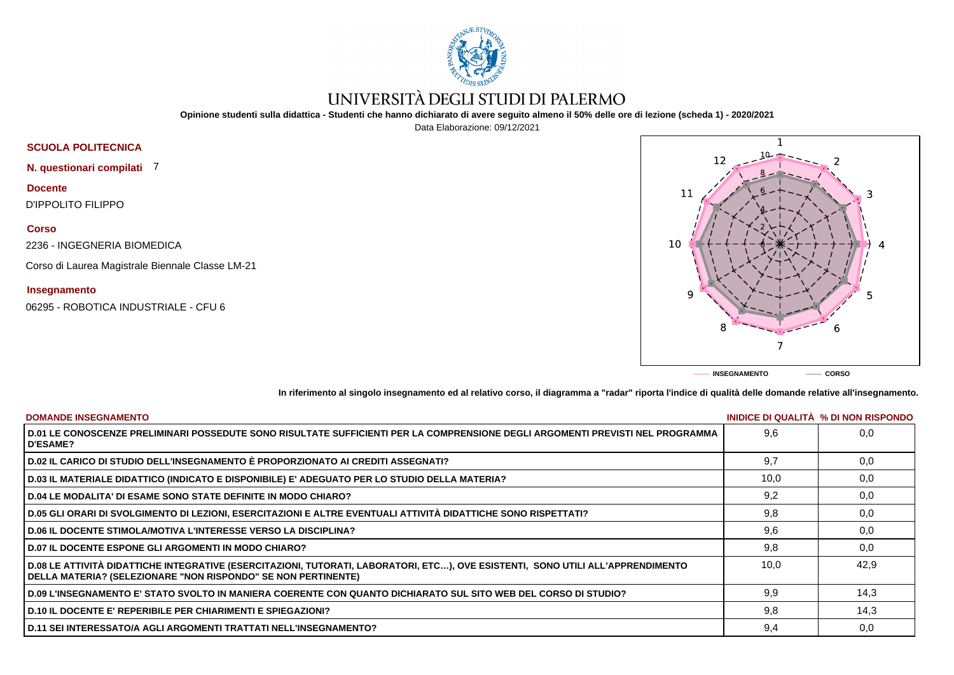

## UNIVERSITÀ DEGLI STUDI DI PALERMO

**Opinione studenti sulla didattica - Studenti che hanno dichiarato di avere seguito almeno il 50% delle ore di lezione (scheda 1) - 2020/2021**

Data Elaborazione: 09/12/2021





**In riferimento al singolo insegnamento ed al relativo corso, il diagramma a "radar" riporta l'indice di qualità delle domande relative all'insegnamento.**

| <b>DOMANDE INSEGNAMENTO</b>                                                                                                                                                                             |      | INIDICE DI QUALITA % DI NON RISPONDO |
|---------------------------------------------------------------------------------------------------------------------------------------------------------------------------------------------------------|------|--------------------------------------|
| D.01 LE CONOSCENZE PRELIMINARI POSSEDUTE SONO RISULTATE SUFFICIENTI PER LA COMPRENSIONE DEGLI ARGOMENTI PREVISTI NEL PROGRAMMA<br><b>D'ESAME?</b>                                                       | 9.6  | 0.0                                  |
| D.02 IL CARICO DI STUDIO DELL'INSEGNAMENTO È PROPORZIONATO AI CREDITI ASSEGNATI?                                                                                                                        | 9.7  | 0,0                                  |
| D.03 IL MATERIALE DIDATTICO (INDICATO E DISPONIBILE) E' ADEGUATO PER LO STUDIO DELLA MATERIA?                                                                                                           | 10.0 | 0,0                                  |
| <b>D.04 LE MODALITA' DI ESAME SONO STATE DEFINITE IN MODO CHIARO?</b>                                                                                                                                   | 9,2  | 0,0                                  |
| D.05 GLI ORARI DI SVOLGIMENTO DI LEZIONI, ESERCITAZIONI E ALTRE EVENTUALI ATTIVITÀ DIDATTICHE SONO RISPETTATI?                                                                                          | 9,8  | 0,0                                  |
| <b>D.06 IL DOCENTE STIMOLA/MOTIVA L'INTERESSE VERSO LA DISCIPLINA?</b>                                                                                                                                  | 9,6  | 0.0                                  |
| <b>D.07 IL DOCENTE ESPONE GLI ARGOMENTI IN MODO CHIARO?</b>                                                                                                                                             | 9,8  | 0.0                                  |
| D.08 LE ATTIVITÀ DIDATTICHE INTEGRATIVE (ESERCITAZIONI, TUTORATI, LABORATORI, ETC), OVE ESISTENTI, SONO UTILI ALL'APPRENDIMENTO<br><b>DELLA MATERIA? (SELEZIONARE "NON RISPONDO" SE NON PERTINENTE)</b> | 10.0 | 42.9                                 |
| D.09 L'INSEGNAMENTO E' STATO SVOLTO IN MANIERA COERENTE CON QUANTO DICHIARATO SUL SITO WEB DEL CORSO DI STUDIO?                                                                                         | 9,9  | 14.3                                 |
| <b>D.10 IL DOCENTE E' REPERIBILE PER CHIARIMENTI E SPIEGAZIONI?</b>                                                                                                                                     | 9.8  | 14,3                                 |
| <b>D.11 SEI INTERESSATO/A AGLI ARGOMENTI TRATTATI NELL'INSEGNAMENTO?</b>                                                                                                                                | 9,4  | 0,0                                  |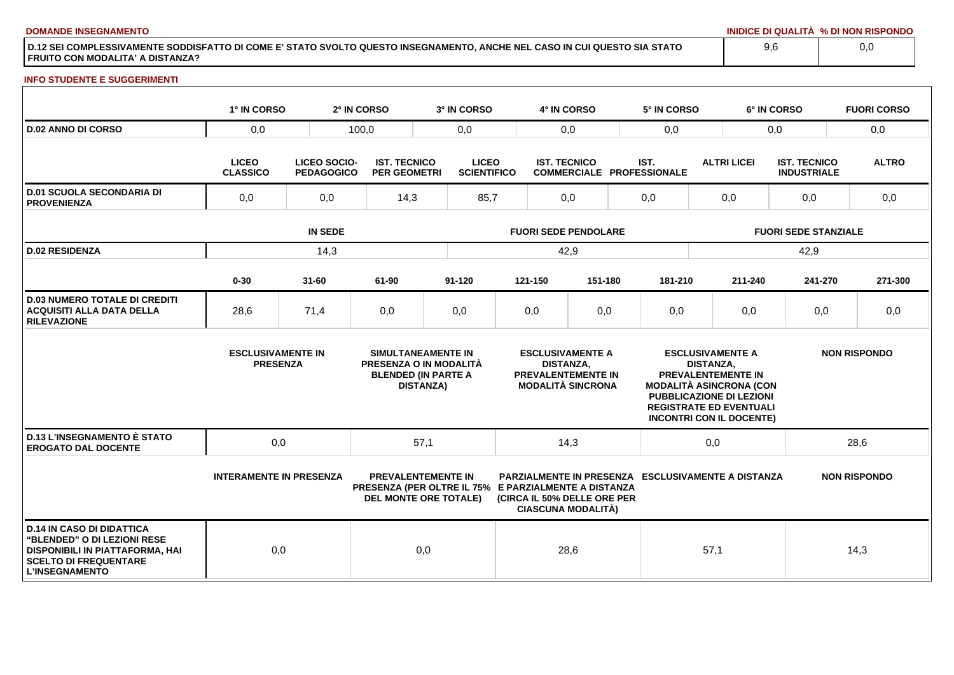**DOMANDE INSEGNAMENTO INIDICE DI QUALITÀ % DI NON RISPONDO**

**D.12 SEI COMPLESSIVAMENTE SODDISFATTO DI COME E' STATO SVOLTO QUESTO INSEGNAMENTO, ANCHE NEL CASO IN CUI QUESTO SIA STATO FRUITO CON MODALITA' A DISTANZA?**

## **INFO STUDENTE E SUGGERIMENTI**

|                                                                                                                                                             | 1° IN CORSO                                 |                                          | 2° IN CORSO                                | 3° IN CORSO                                                                                                       |                             | 4° IN CORSO                                                                                          |         |     | 5° IN CORSO                                               |                             |                                                                                                                                                              | 6° IN CORSO                               |     | <b>FUORI CORSO</b>  |
|-------------------------------------------------------------------------------------------------------------------------------------------------------------|---------------------------------------------|------------------------------------------|--------------------------------------------|-------------------------------------------------------------------------------------------------------------------|-----------------------------|------------------------------------------------------------------------------------------------------|---------|-----|-----------------------------------------------------------|-----------------------------|--------------------------------------------------------------------------------------------------------------------------------------------------------------|-------------------------------------------|-----|---------------------|
| <b>D.02 ANNO DI CORSO</b>                                                                                                                                   | 0,0                                         |                                          | 100,0<br>0,0                               |                                                                                                                   |                             | 0,0                                                                                                  |         | 0,0 |                                                           |                             |                                                                                                                                                              | 0,0                                       |     | 0,0                 |
|                                                                                                                                                             | <b>LICEO</b><br><b>CLASSICO</b>             | <b>LICEO SOCIO-</b><br><b>PEDAGOGICO</b> | <b>IST. TECNICO</b><br><b>PER GEOMETRI</b> | <b>LICEO</b><br><b>SCIENTIFICO</b>                                                                                |                             | <b>IST. TECNICO</b>                                                                                  |         |     | IST.<br><b>COMMERCIALE PROFESSIONALE</b>                  |                             | <b>ALTRI LICEI</b>                                                                                                                                           | <b>IST. TECNICO</b><br><b>INDUSTRIALE</b> |     | <b>ALTRO</b>        |
| <b>D.01 SCUOLA SECONDARIA DI</b><br><b>PROVENIENZA</b>                                                                                                      | 0,0<br>0,0                                  |                                          | 14,3                                       | 85,7                                                                                                              | 0,0                         |                                                                                                      | 0,0     |     | 0,0                                                       |                             | 0,0                                                                                                                                                          |                                           | 0,0 |                     |
|                                                                                                                                                             | <b>IN SEDE</b>                              |                                          |                                            |                                                                                                                   | <b>FUORI SEDE PENDOLARE</b> |                                                                                                      |         |     |                                                           | <b>FUORI SEDE STANZIALE</b> |                                                                                                                                                              |                                           |     |                     |
| <b>D.02 RESIDENZA</b>                                                                                                                                       |                                             | 14,3                                     |                                            |                                                                                                                   |                             | 42,9                                                                                                 |         |     |                                                           |                             |                                                                                                                                                              | 42,9                                      |     |                     |
|                                                                                                                                                             | $0 - 30$                                    | $31 - 60$                                | 61-90                                      | $91 - 120$                                                                                                        |                             | 121-150                                                                                              | 151-180 |     | 181-210                                                   |                             | 211-240                                                                                                                                                      | 241-270                                   |     | 271-300             |
| <b>D.03 NUMERO TOTALE DI CREDITI</b><br><b>ACQUISITI ALLA DATA DELLA</b><br><b>RILEVAZIONE</b>                                                              | 28,6                                        | 71,4                                     | 0,0                                        | 0,0                                                                                                               |                             | 0,0                                                                                                  | 0,0     |     | 0,0                                                       |                             | 0,0                                                                                                                                                          | 0,0                                       |     | 0,0                 |
|                                                                                                                                                             | <b>ESCLUSIVAMENTE IN</b><br><b>PRESENZA</b> |                                          |                                            | SIMULTANEAMENTE IN<br>PRESENZA O IN MODALITÀ<br><b>BLENDED (IN PARTE A</b><br><b>DISTANZA)</b>                    |                             | <b>ESCLUSIVAMENTE A</b><br><b>DISTANZA,</b><br><b>PREVALENTEMENTE IN</b><br><b>MODALITÀ SINCRONA</b> |         |     | <b>MODALITÀ ASINCRONA (CON</b>                            | <b>DISTANZA,</b>            | <b>ESCLUSIVAMENTE A</b><br><b>PREVALENTEMENTE IN</b><br><b>PUBBLICAZIONE DI LEZIONI</b><br><b>REGISTRATE ED EVENTUALI</b><br><b>INCONTRI CON IL DOCENTE)</b> |                                           |     | <b>NON RISPONDO</b> |
| <b>D.13 L'INSEGNAMENTO È STATO</b><br><b>EROGATO DAL DOCENTE</b>                                                                                            | 0,0                                         |                                          |                                            | 57,1                                                                                                              |                             | 14,3                                                                                                 |         |     |                                                           | 0,0                         |                                                                                                                                                              |                                           |     | 28,6                |
|                                                                                                                                                             | <b>INTERAMENTE IN PRESENZA</b>              |                                          |                                            | <b>PREVALENTEMENTE IN</b><br>PRESENZA (PER OLTRE IL 75% E PARZIALMENTE A DISTANZA<br><b>DEL MONTE ORE TOTALE)</b> |                             | (CIRCA IL 50% DELLE ORE PER<br><b>CIASCUNA MODALITÀ)</b>                                             |         |     | <b>PARZIALMENTE IN PRESENZA ESCLUSIVAMENTE A DISTANZA</b> |                             |                                                                                                                                                              |                                           |     | <b>NON RISPONDO</b> |
| <b>D.14 IN CASO DI DIDATTICA</b><br>"BLENDED" O DI LEZIONI RESE<br>DISPONIBILI IN PIATTAFORMA, HAI<br><b>SCELTO DI FREQUENTARE</b><br><b>L'INSEGNAMENTO</b> | 0,0                                         |                                          |                                            | 0,0                                                                                                               |                             | 28,6                                                                                                 |         |     |                                                           | 57,1                        |                                                                                                                                                              |                                           |     | 14,3                |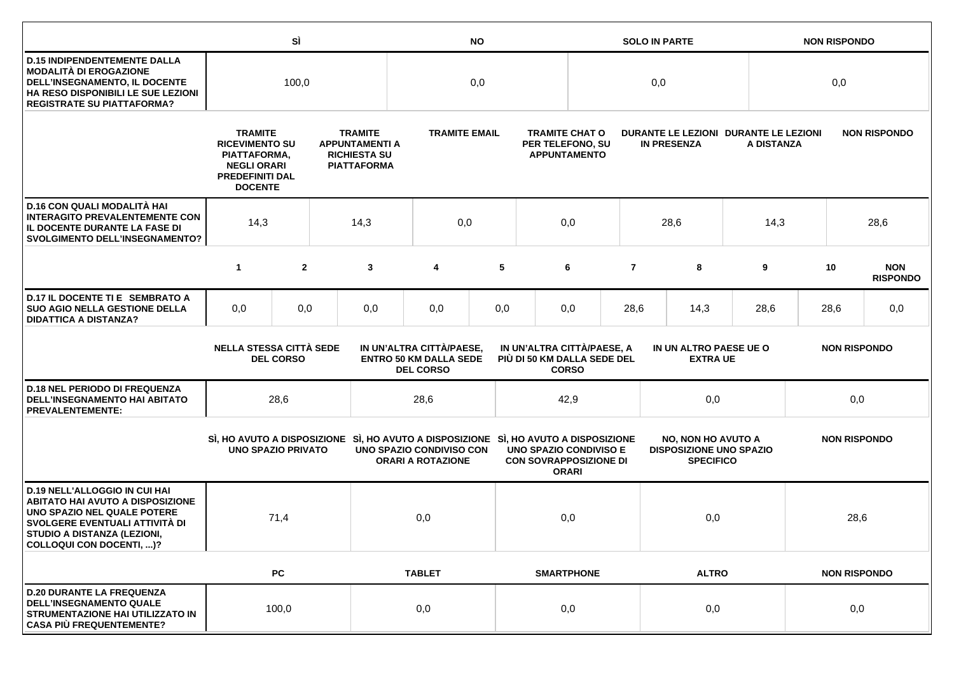|                                                                                                                                                                                                             |                                                                                                                           | SÌ               |     | <b>NO</b>                                                                            |                                                                               |      |                                                                |                                                                  |                                                             | <b>SOLO IN PARTE</b>                                                            |              | <b>NON RISPONDO</b> |                     |  |                               |
|-------------------------------------------------------------------------------------------------------------------------------------------------------------------------------------------------------------|---------------------------------------------------------------------------------------------------------------------------|------------------|-----|--------------------------------------------------------------------------------------|-------------------------------------------------------------------------------|------|----------------------------------------------------------------|------------------------------------------------------------------|-------------------------------------------------------------|---------------------------------------------------------------------------------|--------------|---------------------|---------------------|--|-------------------------------|
| <b>D.15 INDIPENDENTEMENTE DALLA</b><br>MODALITÀ DI EROGAZIONE<br>DELL'INSEGNAMENTO, IL DOCENTE<br>HA RESO DISPONIBILI LE SUE LEZIONI<br><b>REGISTRATE SU PIATTAFORMA?</b>                                   |                                                                                                                           | 100,0            |     |                                                                                      | 0,0                                                                           |      |                                                                |                                                                  | 0,0                                                         |                                                                                 |              |                     | 0,0                 |  |                               |
|                                                                                                                                                                                                             | <b>TRAMITE</b><br><b>RICEVIMENTO SU</b><br>PIATTAFORMA,<br><b>NEGLI ORARI</b><br><b>PREDEFINITI DAL</b><br><b>DOCENTE</b> |                  |     | <b>TRAMITE</b><br><b>APPUNTAMENTI A</b><br><b>RICHIESTA SU</b><br><b>PIATTAFORMA</b> | <b>TRAMITE EMAIL</b>                                                          |      |                                                                | <b>TRAMITE CHAT O</b><br>PER TELEFONO, SU<br><b>APPUNTAMENTO</b> | DURANTE LE LEZIONI DURANTE LE LEZIONI<br><b>IN PRESENZA</b> |                                                                                 |              | A DISTANZA          |                     |  | <b>NON RISPONDO</b>           |
| D.16 CON QUALI MODALITÀ HAI<br><b>INTERAGITO PREVALENTEMENTE CON</b><br>IL DOCENTE DURANTE LA FASE DI<br><b>SVOLGIMENTO DELL'INSEGNAMENTO?</b>                                                              | 14,3<br>14,3                                                                                                              |                  | 0,0 |                                                                                      | 0,0                                                                           | 28,6 |                                                                |                                                                  | 14,3                                                        |                                                                                 | 28,6         |                     |                     |  |                               |
|                                                                                                                                                                                                             | $\mathbf{1}$                                                                                                              | $\mathbf{2}$     |     | 3                                                                                    | 4                                                                             | 5    |                                                                | 6                                                                | $\overline{7}$                                              | 8                                                                               |              | 9                   | 10                  |  | <b>NON</b><br><b>RISPONDO</b> |
| D.17 IL DOCENTE TI E SEMBRATO A<br><b>SUO AGIO NELLA GESTIONE DELLA</b><br><b>DIDATTICA A DISTANZA?</b>                                                                                                     | 0,0                                                                                                                       | 0,0              |     | 0,0                                                                                  | 0,0                                                                           | 0,0  |                                                                | 0,0                                                              | 28,6                                                        | 14,3                                                                            |              | 28,6                | 28,6                |  | 0,0                           |
|                                                                                                                                                                                                             | <b>NELLA STESSA CITTÀ SEDE</b>                                                                                            | <b>DEL CORSO</b> |     |                                                                                      | IN UN'ALTRA CITTÀ/PAESE,<br><b>ENTRO 50 KM DALLA SEDE</b><br><b>DEL CORSO</b> |      | IN UN'ALTRA CITTÀ/PAESE, A<br>PIÙ DI 50 KM DALLA SEDE DEL      | <b>CORSO</b>                                                     |                                                             | IN UN ALTRO PAESE UE O<br><b>NON RISPONDO</b><br><b>EXTRA UE</b>                |              |                     |                     |  |                               |
| <b>D.18 NEL PERIODO DI FREQUENZA</b><br>DELL'INSEGNAMENTO HAI ABITATO<br><b>PREVALENTEMENTE:</b>                                                                                                            |                                                                                                                           | 28,6             |     |                                                                                      | 28,6                                                                          |      |                                                                | 42,9                                                             |                                                             | 0,0                                                                             |              |                     | 0,0                 |  |                               |
|                                                                                                                                                                                                             | <b>UNO SPAZIO PRIVATO</b>                                                                                                 |                  |     | SI, HO AVUTO A DISPOSIZIONE SI, HO AVUTO A DISPOSIZIONE SI, HO AVUTO A DISPOSIZIONE  | UNO SPAZIO CONDIVISO CON<br><b>ORARI A ROTAZIONE</b>                          |      | <b>UNO SPAZIO CONDIVISO E</b><br><b>CON SOVRAPPOSIZIONE DI</b> | <b>ORARI</b>                                                     |                                                             | <b>NO, NON HO AVUTO A</b><br><b>DISPOSIZIONE UNO SPAZIO</b><br><b>SPECIFICO</b> |              |                     | <b>NON RISPONDO</b> |  |                               |
| <b>D.19 NELL'ALLOGGIO IN CUI HAI</b><br><b>ABITATO HAI AVUTO A DISPOSIZIONE</b><br>UNO SPAZIO NEL QUALE POTERE<br>SVOLGERE EVENTUALI ATTIVITÀ DI<br>STUDIO A DISTANZA (LEZIONI,<br>COLLOQUI CON DOCENTI, )? |                                                                                                                           | 71,4             |     |                                                                                      | 0,0                                                                           |      |                                                                | 0,0                                                              |                                                             | 0,0                                                                             |              |                     | 28,6                |  |                               |
|                                                                                                                                                                                                             |                                                                                                                           | PC               |     |                                                                                      | <b>TABLET</b>                                                                 |      |                                                                | <b>SMARTPHONE</b>                                                |                                                             |                                                                                 | <b>ALTRO</b> |                     |                     |  | <b>NON RISPONDO</b>           |
| <b>D.20 DURANTE LA FREQUENZA</b><br><b>DELL'INSEGNAMENTO QUALE</b><br>STRUMENTAZIONE HAI UTILIZZATO IN<br><b>CASA PIÙ FREQUENTEMENTE?</b>                                                                   |                                                                                                                           | 100,0            |     |                                                                                      | 0,0                                                                           |      |                                                                | 0,0                                                              |                                                             | 0,0                                                                             |              |                     | 0,0                 |  |                               |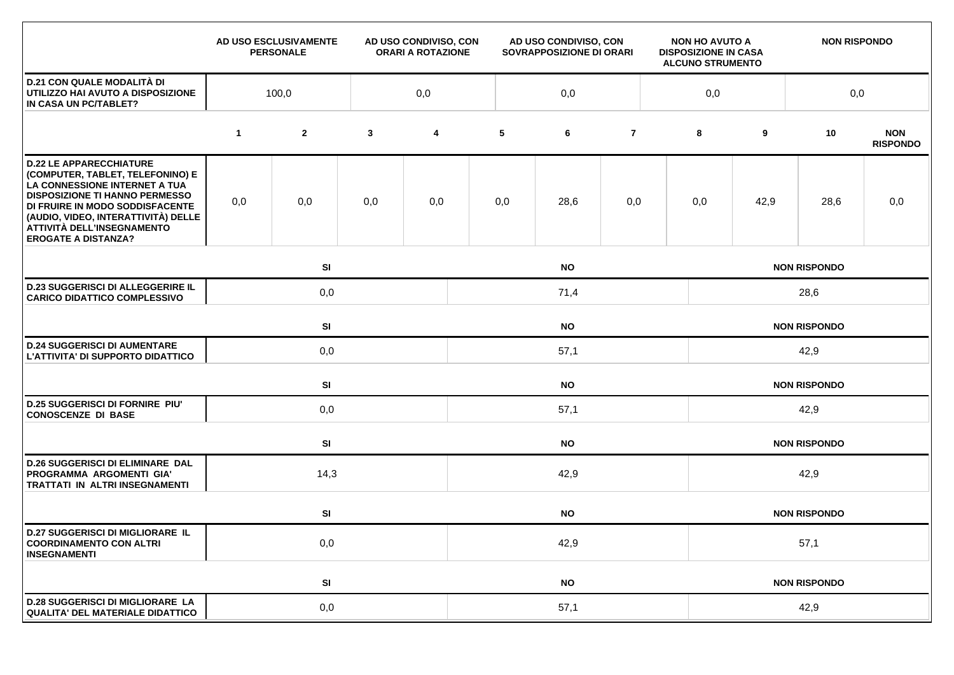|                                                                                                                                                                                                                                                                                    |             | AD USO ESCLUSIVAMENTE<br><b>PERSONALE</b> |              | AD USO CONDIVISO, CON<br><b>ORARI A ROTAZIONE</b> | AD USO CONDIVISO, CON<br>SOVRAPPOSIZIONE DI ORARI |                     |                     |  | <b>NON HO AVUTO A</b><br><b>DISPOSIZIONE IN CASA</b><br><b>ALCUNO STRUMENTO</b> |                     | <b>NON RISPONDO</b> |                               |  |  |  |
|------------------------------------------------------------------------------------------------------------------------------------------------------------------------------------------------------------------------------------------------------------------------------------|-------------|-------------------------------------------|--------------|---------------------------------------------------|---------------------------------------------------|---------------------|---------------------|--|---------------------------------------------------------------------------------|---------------------|---------------------|-------------------------------|--|--|--|
| <b>D.21 CON QUALE MODALITÀ DI</b><br>UTILIZZO HAI AVUTO A DISPOSIZIONE<br>IN CASA UN PC/TABLET?                                                                                                                                                                                    | 100,0       |                                           |              | 0,0                                               | 0,0                                               |                     |                     |  |                                                                                 |                     |                     | 0,0                           |  |  |  |
|                                                                                                                                                                                                                                                                                    | $\mathbf 1$ | $\mathbf{2}$                              | $\mathbf{3}$ | 4                                                 | 5                                                 | 6                   | $\overline{7}$      |  | 8                                                                               | 9                   | 10                  | <b>NON</b><br><b>RISPONDO</b> |  |  |  |
| <b>D.22 LE APPARECCHIATURE</b><br>(COMPUTER, TABLET, TELEFONINO) E<br>LA CONNESSIONE INTERNET A TUA<br><b>DISPOSIZIONE TI HANNO PERMESSO</b><br>DI FRUIRE IN MODO SODDISFACENTE<br>(AUDIO, VIDEO, INTERATTIVITÀ) DELLE<br>ATTIVITÀ DELL'INSEGNAMENTO<br><b>EROGATE A DISTANZA?</b> | 0,0         | 0,0                                       | 0,0          | 0,0                                               | 0,0                                               | 28,6                | 0,0                 |  | 0,0                                                                             | 42,9                | 28,6                | 0,0                           |  |  |  |
|                                                                                                                                                                                                                                                                                    |             | SI<br><b>NO</b>                           |              |                                                   |                                                   |                     |                     |  |                                                                                 | <b>NON RISPONDO</b> |                     |                               |  |  |  |
| <b>D.23 SUGGERISCI DI ALLEGGERIRE IL</b><br><b>CARICO DIDATTICO COMPLESSIVO</b>                                                                                                                                                                                                    |             | 0,0<br>71,4                               |              |                                                   |                                                   |                     |                     |  | 28,6                                                                            |                     |                     |                               |  |  |  |
|                                                                                                                                                                                                                                                                                    |             | SI<br><b>NO</b>                           |              |                                                   |                                                   |                     |                     |  | <b>NON RISPONDO</b>                                                             |                     |                     |                               |  |  |  |
| <b>D.24 SUGGERISCI DI AUMENTARE</b><br>L'ATTIVITA' DI SUPPORTO DIDATTICO                                                                                                                                                                                                           |             | 0,0                                       |              |                                                   | 57,1                                              |                     |                     |  |                                                                                 | 42,9                |                     |                               |  |  |  |
|                                                                                                                                                                                                                                                                                    |             | <b>SI</b><br><b>NO</b>                    |              |                                                   |                                                   |                     |                     |  |                                                                                 |                     | <b>NON RISPONDO</b> |                               |  |  |  |
| <b>D.25 SUGGERISCI DI FORNIRE PIU'</b><br><b>CONOSCENZE DI BASE</b>                                                                                                                                                                                                                |             | 0,0                                       |              |                                                   | 57,1                                              |                     |                     |  |                                                                                 | 42,9                |                     |                               |  |  |  |
|                                                                                                                                                                                                                                                                                    |             | SI                                        |              | <b>NO</b>                                         |                                                   |                     |                     |  |                                                                                 | <b>NON RISPONDO</b> |                     |                               |  |  |  |
| <b>D.26 SUGGERISCI DI ELIMINARE DAL</b><br>PROGRAMMA ARGOMENTI GIA'<br>TRATTATI IN ALTRI INSEGNAMENTI                                                                                                                                                                              |             | 14,3                                      | 42,9         |                                                   |                                                   |                     |                     |  | 42,9                                                                            |                     |                     |                               |  |  |  |
|                                                                                                                                                                                                                                                                                    |             | SI                                        |              |                                                   |                                                   | <b>NO</b>           | <b>NON RISPONDO</b> |  |                                                                                 |                     |                     |                               |  |  |  |
| <b>D.27 SUGGERISCI DI MIGLIORARE IL</b><br><b>COORDINAMENTO CON ALTRI</b><br><b>INSEGNAMENTI</b>                                                                                                                                                                                   |             | 0,0                                       |              |                                                   | 42,9                                              |                     |                     |  |                                                                                 | 57,1                |                     |                               |  |  |  |
|                                                                                                                                                                                                                                                                                    |             | SI                                        |              |                                                   | <b>NO</b>                                         | <b>NON RISPONDO</b> |                     |  |                                                                                 |                     |                     |                               |  |  |  |
| <b>D.28 SUGGERISCI DI MIGLIORARE LA</b><br><b>QUALITA' DEL MATERIALE DIDATTICO</b>                                                                                                                                                                                                 |             | 0,0                                       |              |                                                   | 57,1                                              |                     |                     |  |                                                                                 | 42,9                |                     |                               |  |  |  |